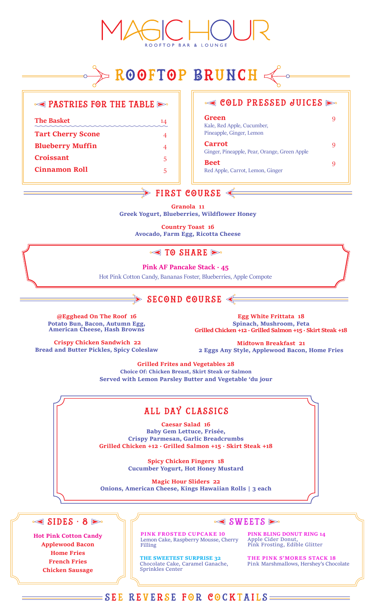# ROOFTOP BRUNCH

#### $\leq$  PASTRIES FOR THE TABLE  $\geq$

**The Basket** 14 **Tart Cherry Scone** 4 **Blueberry Muffin** 4 **Croissant** 5 **Cinnamon Roll** 5

#### $\leq$  COLD PRESSED JUICES  $\geq$

**Green** 9 Kale, Red Apple, Cucumber, Pineapple, Ginger, Lemon **Carrot** 9 Ginger, Pineapple, Pear, Orange, Green Apple **Beet** 9 Red Apple, Carrot, Lemon, Ginger

# $\Rightarrow$  FIRST COURSE  $\Leftarrow$

**Granola 11 Greek Yogurt, Blueberries, Wildflower Honey**

**Country Toast 16 Avocado, Farm Egg, Ricotta Cheese**

#### $\leq$  TO SHARE

#### **Pink AF Pancake Stack · 45**

Hot Pink Cotton Candy, Bananas Foster, Blueberries, Apple Compote

# $\blacktriangleright$  SECOND COURSE  $\triangleleft$

**@Egghead On The Roof 16 Potato Bun, Bacon, Autumn Egg, American Cheese, Hash Browns**

**Crispy Chicken Sandwich 22 Bread and Butter Pickles, Spicy Coleslaw**

**Egg White Frittata 18 Spinach, Mushroom, Feta Grilled Chicken +12 · Grilled Salmon +15 · Skirt Steak +18**

**Midtown Breakfast 21 2 Eggs Any Style, Applewood Bacon, Home Fries**

**Grilled Frites and Vegetables 28 Choice Of: Chicken Breast, Skirt Steak or Salmon Served with Lemon Parsley Butter and Vegetable 'du jour**

# all day classics

**Caesar Salad 16 Baby Gem Lettuce, Frisée, Crispy Parmesan, Garlic Breadcrumbs Grilled Chicken +12 · Grilled Salmon +15 · Skirt Steak +18**

> **Spicy Chicken Fingers 18 Cucumber Yogurt, Hot Honey Mustard**

**Magic Hour Sliders 22 Onions, American Cheese, Kings Hawaiian Rolls | 3 each**



**Hot Pink Cotton Candy Applewood Bacon Home Fries French Fries Chicken Sausage**

#### $\leq$  SWEETS  $\geq$

**PINK FROSTED CUPCAKE 10** Lemon Cake, Raspberry Mousse, Cherry Filling

**PINK BLING DONUT RING 14** Apple Cider Donut, Pink Frosting, Edible Glitter

**THE SWEETEST SURPRISE 32** Chocolate Cake, Caramel Ganache, Sprinkles Center

**THE PINK S'MORES STACK 18** Pink Marshmallows, Hershey's Chocolate

## $\equiv$  SEE REVERSE FOR COCKTAILS $\equiv$